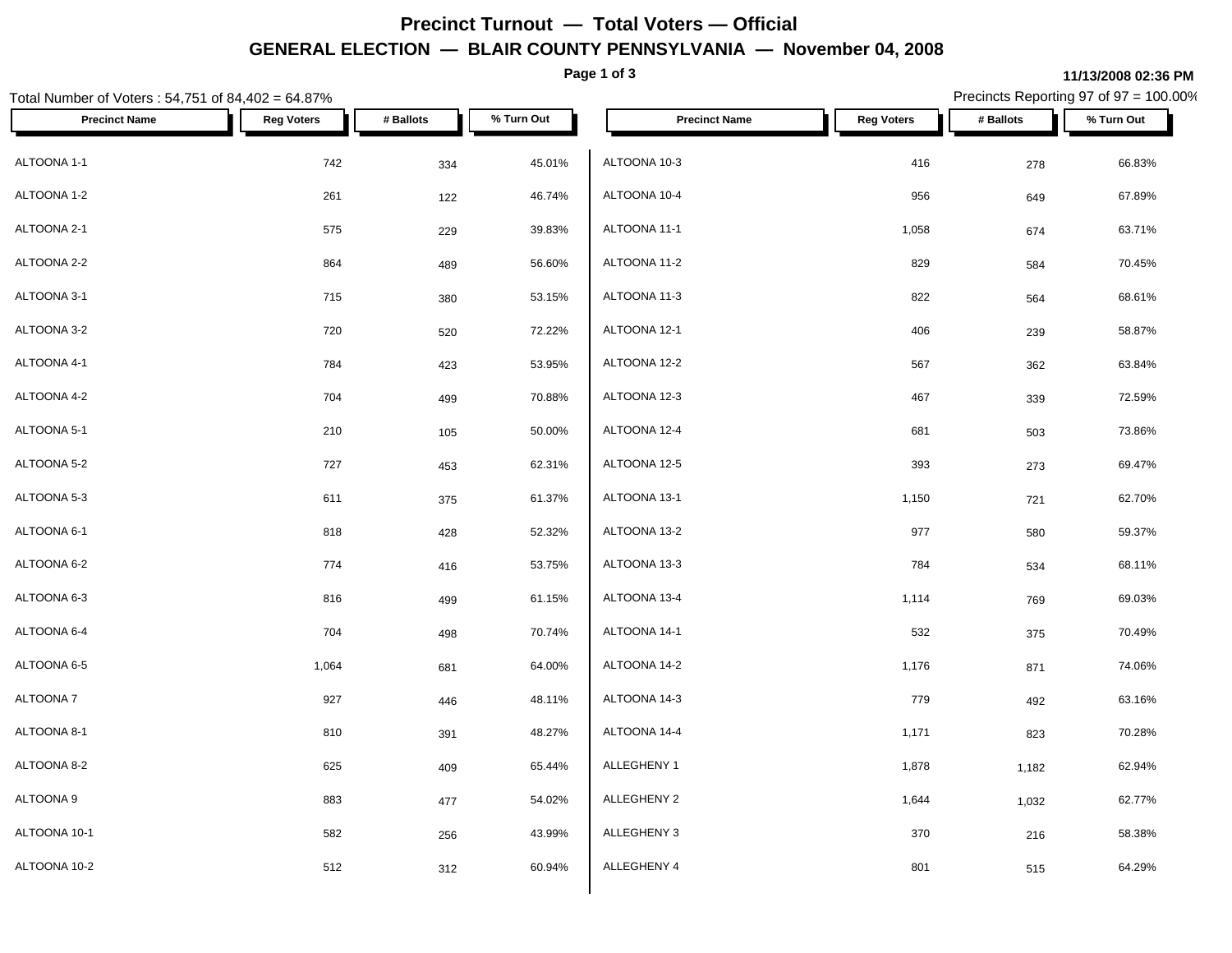# **Precinct Turnout — Total Voters — Official GENERAL ELECTION — BLAIR COUNTY PENNSYLVANIA — November 04, 2008**

**Page 1 of 3**

### **11/13/2008 02:36 PM**

Precincts Reporting 97 of 97 = 100.00%

| Total Number of Voters: 54,751 of 84,402 = 64.87% |                   |           |            |                      | Precincts Reporting 97 of 97 = 100.00% |           |            |
|---------------------------------------------------|-------------------|-----------|------------|----------------------|----------------------------------------|-----------|------------|
| <b>Precinct Name</b>                              | <b>Reg Voters</b> | # Ballots | % Turn Out | <b>Precinct Name</b> | <b>Reg Voters</b>                      | # Ballots | % Turn Out |
| ALTOONA 1-1                                       | 742               | 334       | 45.01%     | ALTOONA 10-3         | 416                                    | 278       | 66.83%     |
| ALTOONA 1-2                                       | 261               | 122       | 46.74%     | ALTOONA 10-4         | 956                                    | 649       | 67.89%     |
| ALTOONA 2-1                                       | 575               | 229       | 39.83%     | ALTOONA 11-1         | 1,058                                  | 674       | 63.71%     |
| ALTOONA 2-2                                       | 864               | 489       | 56.60%     | ALTOONA 11-2         | 829                                    | 584       | 70.45%     |
| ALTOONA 3-1                                       | 715               | 380       | 53.15%     | ALTOONA 11-3         | 822                                    | 564       | 68.61%     |
| ALTOONA 3-2                                       | 720               | 520       | 72.22%     | ALTOONA 12-1         | 406                                    | 239       | 58.87%     |
| ALTOONA 4-1                                       | 784               | 423       | 53.95%     | ALTOONA 12-2         | 567                                    | 362       | 63.84%     |
| ALTOONA 4-2                                       | 704               | 499       | 70.88%     | ALTOONA 12-3         | 467                                    | 339       | 72.59%     |
| ALTOONA 5-1                                       | 210               | 105       | 50.00%     | ALTOONA 12-4         | 681                                    | 503       | 73.86%     |
| ALTOONA 5-2                                       | 727               | 453       | 62.31%     | ALTOONA 12-5         | 393                                    | 273       | 69.47%     |
| ALTOONA 5-3                                       | 611               | 375       | 61.37%     | ALTOONA 13-1         | 1,150                                  | 721       | 62.70%     |
| ALTOONA 6-1                                       | 818               | 428       | 52.32%     | ALTOONA 13-2         | 977                                    | 580       | 59.37%     |
| ALTOONA 6-2                                       | 774               | 416       | 53.75%     | ALTOONA 13-3         | 784                                    | 534       | 68.11%     |
| ALTOONA 6-3                                       | 816               | 499       | 61.15%     | ALTOONA 13-4         | 1,114                                  | 769       | 69.03%     |
| ALTOONA 6-4                                       | 704               | 498       | 70.74%     | ALTOONA 14-1         | 532                                    | 375       | 70.49%     |
| ALTOONA 6-5                                       | 1,064             | 681       | 64.00%     | ALTOONA 14-2         | 1,176                                  | 871       | 74.06%     |
| ALTOONA 7                                         | 927               | 446       | 48.11%     | ALTOONA 14-3         | 779                                    | 492       | 63.16%     |
| ALTOONA 8-1                                       | 810               | 391       | 48.27%     | ALTOONA 14-4         | 1,171                                  | 823       | 70.28%     |
| ALTOONA 8-2                                       | 625               | 409       | 65.44%     | ALLEGHENY 1          | 1,878                                  | 1,182     | 62.94%     |
| ALTOONA 9                                         | 883               | 477       | 54.02%     | ALLEGHENY 2          | 1,644                                  | 1,032     | 62.77%     |
| ALTOONA 10-1                                      | 582               | 256       | 43.99%     | ALLEGHENY 3          | 370                                    | 216       | 58.38%     |
| ALTOONA 10-2                                      | 512               | 312       | 60.94%     | ALLEGHENY 4          | 801                                    | 515       | 64.29%     |
|                                                   |                   |           |            |                      |                                        |           |            |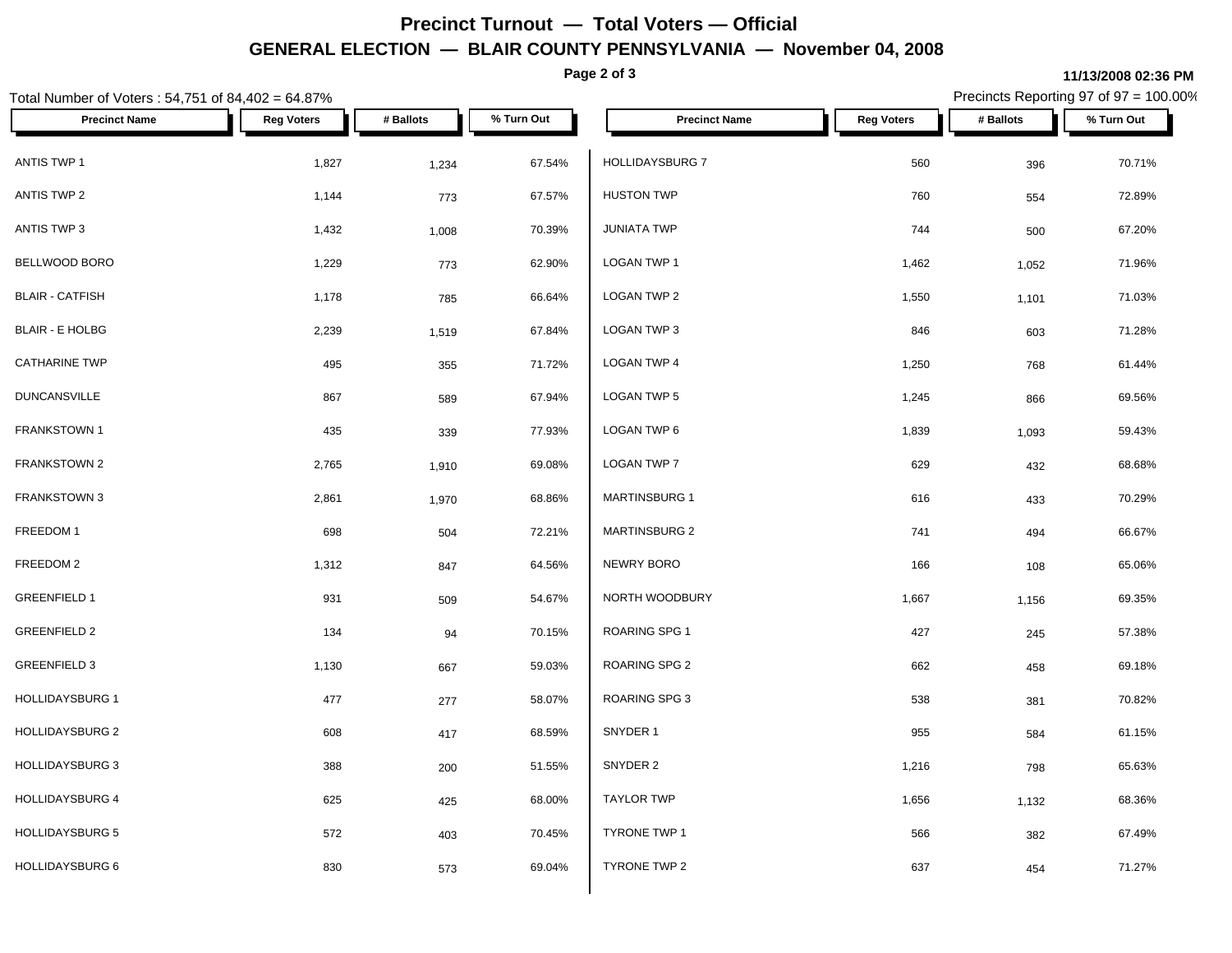# **Precinct Turnout — Total Voters — Official GENERAL ELECTION — BLAIR COUNTY PENNSYLVANIA — November 04, 2008**

**Page 2 of 3**

#### **11/13/2008 02:36 PM**

Precincts Reporting 97 of 97 = 100.00%

| Total Number of Voters : 54,751 of 84,402 = 64.87% |                   |           |            | Precincts Reporting 97 of 97 = 100.00% |                   |           |            |
|----------------------------------------------------|-------------------|-----------|------------|----------------------------------------|-------------------|-----------|------------|
| <b>Precinct Name</b>                               | <b>Reg Voters</b> | # Ballots | % Turn Out | <b>Precinct Name</b>                   | <b>Reg Voters</b> | # Ballots | % Turn Out |
| ANTIS TWP 1                                        | 1,827             | 1,234     | 67.54%     | HOLLIDAYSBURG 7                        | 560               | 396       | 70.71%     |
| <b>ANTIS TWP 2</b>                                 | 1,144             | 773       | 67.57%     | <b>HUSTON TWP</b>                      | 760               | 554       | 72.89%     |
| ANTIS TWP 3                                        | 1,432             | 1,008     | 70.39%     | <b>JUNIATA TWP</b>                     | 744               | 500       | 67.20%     |
| BELLWOOD BORO                                      | 1,229             | 773       | 62.90%     | LOGAN TWP 1                            | 1,462             | 1,052     | 71.96%     |
| <b>BLAIR - CATFISH</b>                             | 1,178             | 785       | 66.64%     | LOGAN TWP 2                            | 1,550             | 1,101     | 71.03%     |
| <b>BLAIR - E HOLBG</b>                             | 2,239             | 1,519     | 67.84%     | LOGAN TWP 3                            | 846               | 603       | 71.28%     |
| <b>CATHARINE TWP</b>                               | 495               | 355       | 71.72%     | LOGAN TWP 4                            | 1,250             | 768       | 61.44%     |
| <b>DUNCANSVILLE</b>                                | 867               | 589       | 67.94%     | LOGAN TWP 5                            | 1,245             | 866       | 69.56%     |
| <b>FRANKSTOWN 1</b>                                | 435               | 339       | 77.93%     | LOGAN TWP 6                            | 1,839             | 1,093     | 59.43%     |
| FRANKSTOWN 2                                       | 2,765             | 1,910     | 69.08%     | LOGAN TWP 7                            | 629               | 432       | 68.68%     |
| <b>FRANKSTOWN 3</b>                                | 2,861             | 1,970     | 68.86%     | <b>MARTINSBURG 1</b>                   | 616               | 433       | 70.29%     |
| FREEDOM 1                                          | 698               | 504       | 72.21%     | MARTINSBURG 2                          | 741               | 494       | 66.67%     |
| FREEDOM 2                                          | 1,312             | 847       | 64.56%     | NEWRY BORO                             | 166               | 108       | 65.06%     |
| <b>GREENFIELD 1</b>                                | 931               | 509       | 54.67%     | NORTH WOODBURY                         | 1,667             | 1,156     | 69.35%     |
| <b>GREENFIELD 2</b>                                | 134               | 94        | 70.15%     | <b>ROARING SPG 1</b>                   | 427               | 245       | 57.38%     |
| <b>GREENFIELD 3</b>                                | 1,130             | 667       | 59.03%     | ROARING SPG 2                          | 662               | 458       | 69.18%     |
| <b>HOLLIDAYSBURG 1</b>                             | 477               | 277       | 58.07%     | <b>ROARING SPG 3</b>                   | 538               | 381       | 70.82%     |
| <b>HOLLIDAYSBURG 2</b>                             | 608               | 417       | 68.59%     | SNYDER 1                               | 955               | 584       | 61.15%     |
| <b>HOLLIDAYSBURG 3</b>                             | 388               | 200       | 51.55%     | SNYDER 2                               | 1,216             | 798       | 65.63%     |
| <b>HOLLIDAYSBURG 4</b>                             | 625               | 425       | 68.00%     | <b>TAYLOR TWP</b>                      | 1,656             | 1,132     | 68.36%     |
| <b>HOLLIDAYSBURG 5</b>                             | 572               | 403       | 70.45%     | <b>TYRONE TWP 1</b>                    | 566               | 382       | 67.49%     |
| HOLLIDAYSBURG 6                                    | 830               | 573       | 69.04%     | TYRONE TWP 2                           | 637               | 454       | 71.27%     |
|                                                    |                   |           |            |                                        |                   |           |            |